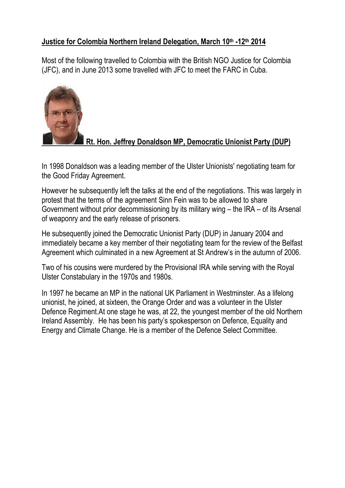#### **Justice for Colombia Northern Ireland Delegation, March 10th -12 th 2014**

Most of the following travelled to Colombia with the British NGO Justice for Colombia (JFC), and in June 2013 some travelled with JFC to meet the FARC in Cuba.



# **Rt. Hon. Jeffrey Donaldson MP, Democratic Unionist Party (DUP)**

In 1998 Donaldson was a leading member of the Ulster Unionists' negotiating team for the Good Friday Agreement.

However he subsequently left the talks at the end of the negotiations. This was largely in protest that the terms of the agreement Sinn Fein was to be allowed to share Government without prior decommissioning by its military wing – the IRA – of its Arsenal of weaponry and the early release of prisoners.

He subsequently joined the Democratic Unionist Party (DUP) in January 2004 and immediately became a key member of their negotiating team for the review of the Belfast Agreement which culminated in a new Agreement at St Andrew's in the autumn of 2006.

Two of his cousins were murdered by the Provisional IRA while serving with the Royal Ulster Constabulary in the 1970s and 1980s.

In 1997 he became an MP in the [national UK Parliament in Westminster.](http://en.wikipedia.org/wiki/Royal_Ulster_Constabulary) As a lifelong unionist, he joined, at sixteen, the Orange Order and was a volunteer in the Ulster Defence Regiment.At one stage he was, at 22, the youngest member of the old Northern Ireland Assembly. He has been his party's spokesperson on Defence, Equality and Energy and Climate Change. He is a member of the Defence Select Committee.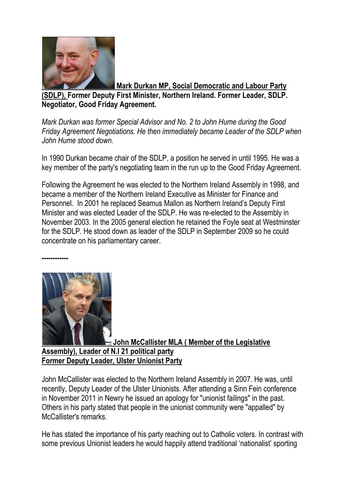

**Mark Durkan MP, Social Democratic and Labour Party**

**(SDLP), Former Deputy First Minister, Northern Ireland. Former Leader, SDLP. Negotiator, Good Friday Agreement.**

*Mark Durkan was former Special Advisor and No. 2 to John Hume during the Good Friday Agreement Negotiations. He then immediately became Leader of the SDLP when John Hume stood down.*

In 1990 Durkan became chair of the SDLP, a position he served in until 1995. He was a key member of the party's negotiating team in the run up to the [Good Friday](http://en.wikipedia.org/wiki/Good_Friday_Agreement) Agreement.

Following the Agreement he was elected to the [Northern Ireland Assembly](http://en.wikipedia.org/wiki/Northern_Ireland_Assembly) in 1998, and became a member of the [Northern Ireland Executive](http://en.wikipedia.org/wiki/Northern_Ireland_Executive) as Minister for Finance and Personnel. In 2001 he replaced [Seamus Mallon](http://en.wikipedia.org/wiki/Seamus_Mallon) as Northern Ireland's Deputy First Minister and was elected Leader of the SDLP. He was re-elected to the Assembly in November 2003. In the [2005 general election](http://en.wikipedia.org/wiki/United_Kingdom_general_election,_2005) he retained the [Foyle](http://en.wikipedia.org/wiki/Foyle_(UK_Parliament_constituency)) seat at Westminster for the SDLP. He stood down as leader of the SDLP in September 2009 so he could concentrate on his parliamentary career.



**------------**

**John McCallister MLA ( Member of the Legislative Assembly), Leader of N.I 21 political party Former Deputy Leader, Ulster Unionist Party**

John McCallister was elected to the Northern Ireland Assembly in 2007. He was, until recently, Deputy Leader of the Ulster Unionists. After attending a Sinn Fein conference in November 2011 in Newry he issued an apology for "unionist failings" in the past. Others in his party stated that people in the unionist community were "appalled" by McCallister's remarks.

He has stated the importance of his party reaching out to Catholic voters. In contrast with some previous Unionist leaders he would happily attend traditional 'nationalist' sporting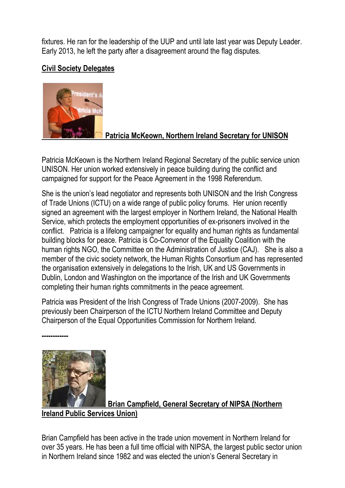fixtures. He ran for the leadership of the UUP and until late last year was Deputy Leader. Early 2013, he left the party after a disagreement around the flag disputes.

#### **Civil Society Delegates**



### **Patricia McKeown, Northern Ireland Secretary for UNISON**

Patricia McKeown is the Northern Ireland Regional Secretary of the public service union UNISON. Her union worked extensively in peace building during the conflict and campaigned for support for the Peace Agreement in the 1998 Referendum.

She is the union's lead negotiator and represents both UNISON and the Irish Congress of Trade Unions (ICTU) on a wide range of public policy forums. Her union recently signed an agreement with the largest employer in Northern Ireland, the National Health Service, which protects the employment opportunities of ex-prisoners involved in the conflict. Patricia is a lifelong campaigner for equality and human rights as fundamental building blocks for peace. Patricia is Co-Convenor of the Equality Coalition with the human rights NGO, the Committee on the Administration of Justice (CAJ). She is also a member of the civic society network, the Human Rights Consortium and has represented the organisation extensively in delegations to the Irish, UK and US Governments in Dublin, London and Washington on the importance of the Irish and UK Governments completing their human rights commitments in the peace agreement.

Patricia was President of the Irish Congress of Trade Unions (2007-2009). She has previously been Chairperson of the ICTU Northern Ireland Committee and Deputy Chairperson of the Equal Opportunities Commission for Northern Ireland.



**------------**

**Brian Campfield, General Secretary of NIPSA (Northern Ireland Public Services Union)**

Brian Campfield has been active in the trade union movement in Northern Ireland for over 35 years. He has been a full time official with NIPSA, the largest public sector union in Northern Ireland since 1982 and was elected the union's General Secretary in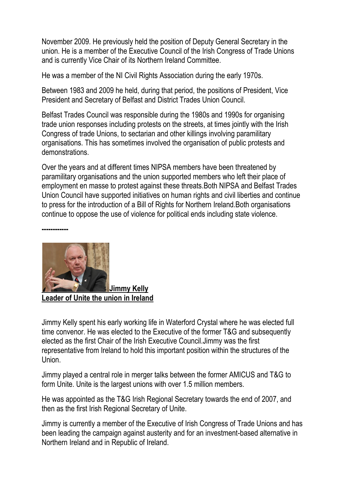November 2009. He previously held the position of Deputy General Secretary in the union. He is a member of the Executive Council of the Irish Congress of Trade Unions and is currently Vice Chair of its Northern Ireland Committee.

He was a member of the NI Civil Rights Association during the early 1970s.

Between 1983 and 2009 he held, during that period, the positions of President, Vice President and Secretary of Belfast and District Trades Union Council.

Belfast Trades Council was responsible during the 1980s and 1990s for organising trade union responses including protests on the streets, at times jointly with the Irish Congress of trade Unions, to sectarian and other killings involving paramilitary organisations. This has sometimes involved the organisation of public protests and demonstrations.

Over the years and at different times NIPSA members have been threatened by paramilitary organisations and the union supported members who left their place of employment en masse to protest against these threats.Both NIPSA and Belfast Trades Union Council have supported initiatives on human rights and civil liberties and continue to press for the introduction of a Bill of Rights for Northern Ireland.Both organisations continue to oppose the use of violence for political ends including state violence.



**------------**

**Leader of Unite the union in Ireland** 

Jimmy Kelly spent his early working life in Waterford Crystal where he was elected full time convenor. He was elected to the Executive of the former T&G and subsequently elected as the first Chair of the Irish Executive Council.Jimmy was the first representative from Ireland to hold this important position within the structures of the Union.

Jimmy played a central role in merger talks between the former AMICUS and T&G to form Unite. Unite is the largest unions with over 1.5 million members.

He was appointed as the T&G Irish Regional Secretary towards the end of 2007, and then as the first Irish Regional Secretary of Unite.

Jimmy is currently a member of the Executive of Irish Congress of Trade Unions and has been leading the campaign against austerity and for an investment-based alternative in Northern Ireland and in Republic of Ireland.